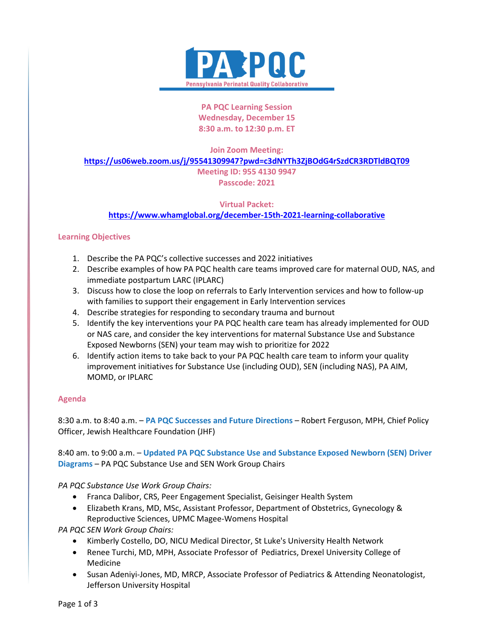

# **PA PQC Learning Session Wednesday, December 15 8:30 a.m. to 12:30 p.m. ET**

**Join Zoom Meeting:** 

**<https://us06web.zoom.us/j/95541309947?pwd=c3dNYTh3ZjBOdG4rSzdCR3RDTldBQT09>**

**Meeting ID: 955 4130 9947 Passcode: 2021**

# **Virtual Packet:**

**<https://www.whamglobal.org/december-15th-2021-learning-collaborative>**

# **Learning Objectives**

- 1. Describe the PA PQC's collective successes and 2022 initiatives
- 2. Describe examples of how PA PQC health care teams improved care for maternal OUD, NAS, and immediate postpartum LARC (IPLARC)
- 3. Discuss how to close the loop on referrals to Early Intervention services and how to follow-up with families to support their engagement in Early Intervention services
- 4. Describe strategies for responding to secondary trauma and burnout
- 5. Identify the key interventions your PA PQC health care team has already implemented for OUD or NAS care, and consider the key interventions for maternal Substance Use and Substance Exposed Newborns (SEN) your team may wish to prioritize for 2022
- 6. Identify action items to take back to your PA PQC health care team to inform your quality improvement initiatives for Substance Use (including OUD), SEN (including NAS), PA AIM, MOMD, or IPLARC

## **Agenda**

8:30 a.m. to 8:40 a.m. – **PA PQC Successes and Future Directions** – Robert Ferguson, MPH, Chief Policy Officer, Jewish Healthcare Foundation (JHF)

8:40 am. to 9:00 a.m. – **Updated PA PQC Substance Use and Substance Exposed Newborn (SEN) Driver Diagrams** – PA PQC Substance Use and SEN Work Group Chairs

*PA PQC Substance Use Work Group Chairs:* 

- Franca Dalibor, CRS, Peer Engagement Specialist, Geisinger Health System
- Elizabeth Krans, MD, MSc, Assistant Professor, Department of Obstetrics, Gynecology & Reproductive Sciences, UPMC Magee-Womens Hospital

*PA PQC SEN Work Group Chairs:* 

- Kimberly Costello, DO, NICU Medical Director, St Luke's University Health Network
- Renee Turchi, MD, MPH, Associate Professor of Pediatrics, Drexel University College of Medicine
- Susan Adeniyi-Jones, MD, MRCP, Associate Professor of Pediatrics & Attending Neonatologist, Jefferson University Hospital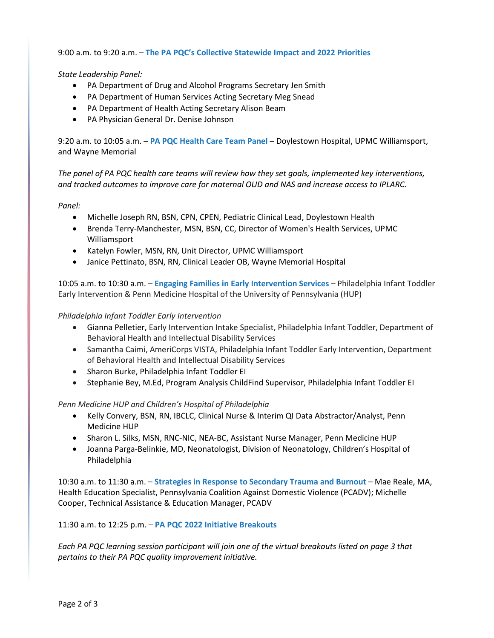### 9:00 a.m. to 9:20 a.m. – **The PA PQC's Collective Statewide Impact and 2022 Priorities**

### *State Leadership Panel:*

- PA Department of Drug and Alcohol Programs Secretary Jen Smith
- PA Department of Human Services Acting Secretary Meg Snead
- PA Department of Health Acting Secretary Alison Beam
- PA Physician General Dr. Denise Johnson

9:20 a.m. to 10:05 a.m. – **PA PQC Health Care Team Panel** – Doylestown Hospital, UPMC Williamsport, and Wayne Memorial

*The panel of PA PQC health care teams will review how they set goals, implemented key interventions, and tracked outcomes to improve care for maternal OUD and NAS and increase access to IPLARC.*

### *Panel:*

- Michelle Joseph RN, BSN, CPN, CPEN, Pediatric Clinical Lead, Doylestown Health
- Brenda Terry-Manchester, MSN, BSN, CC, Director of Women's Health Services, UPMC Williamsport
- Katelyn Fowler, MSN, RN, Unit Director, UPMC Williamsport
- Janice Pettinato, BSN, RN, Clinical Leader OB, Wayne Memorial Hospital

10:05 a.m. to 10:30 a.m. – **Engaging Families in Early Intervention Services** – Philadelphia Infant Toddler Early Intervention & Penn Medicine Hospital of the University of Pennsylvania (HUP)

#### *Philadelphia Infant Toddler Early Intervention*

- Gianna Pelletier, Early Intervention Intake Specialist, Philadelphia Infant Toddler, Department of Behavioral Health and Intellectual Disability Services
- Samantha Caimi, AmeriCorps VISTA, Philadelphia Infant Toddler Early Intervention, Department of Behavioral Health and Intellectual Disability Services
- Sharon Burke, Philadelphia Infant Toddler EI
- Stephanie Bey, M.Ed, Program Analysis ChildFind Supervisor, Philadelphia Infant Toddler EI

#### *Penn Medicine HUP and Children's Hospital of Philadelphia*

- Kelly Convery, BSN, RN, IBCLC, Clinical Nurse & Interim QI Data Abstractor/Analyst, Penn Medicine HUP
- Sharon L. Silks, MSN, RNC-NIC, NEA-BC, Assistant Nurse Manager, Penn Medicine HUP
- Joanna Parga-Belinkie, MD, Neonatologist, Division of Neonatology, Children's Hospital of Philadelphia

10:30 a.m. to 11:30 a.m. – **Strategies in Response to Secondary Trauma and Burnout** – Mae Reale, MA, Health Education Specialist, Pennsylvania Coalition Against Domestic Violence (PCADV); Michelle Cooper, Technical Assistance & Education Manager, PCADV

#### 11:30 a.m. to 12:25 p.m. – **PA PQC 2022 Initiative Breakouts**

*Each PA PQC learning session participant will join one of the virtual breakouts listed on page 3 that pertains to their PA PQC quality improvement initiative.*